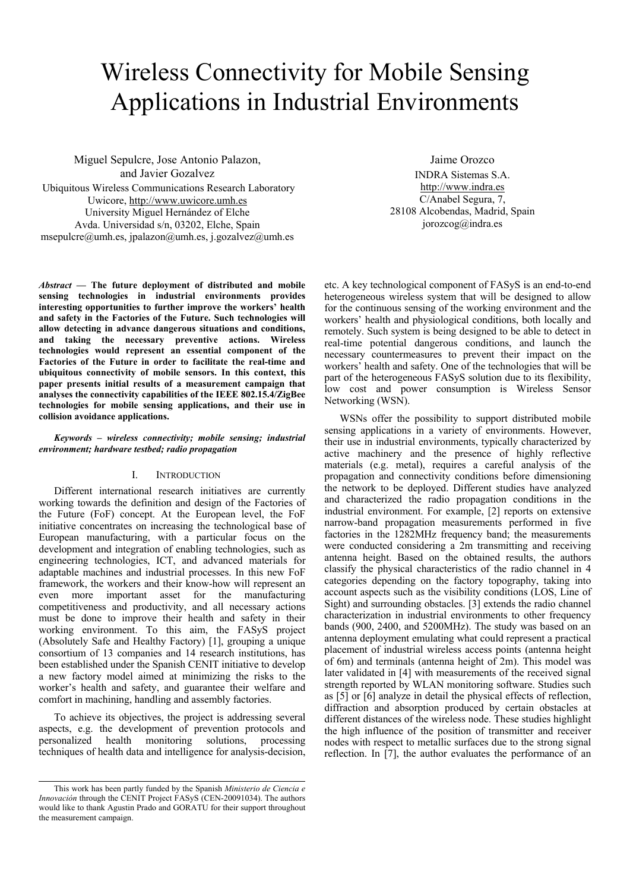# Wireless Connectivity for Mobile Sensing Applications in Industrial Environments

Miguel Sepulcre, Jose Antonio Palazon, and Javier Gozalvez Ubiquitous Wireless Communications Research Laboratory Uwicore, http://www.uwicore.umh.es University Miguel Hernández of Elche Avda. Universidad s/n, 03202, Elche, Spain msepulcre@umh.es, jpalazon@umh.es, j.gozalvez@umh.es

*Abstract* **— The future deployment of distributed and mobile sensing technologies in industrial environments provides interesting opportunities to further improve the workers' health and safety in the Factories of the Future. Such technologies will allow detecting in advance dangerous situations and conditions, and taking the necessary preventive actions. Wireless technologies would represent an essential component of the Factories of the Future in order to facilitate the real-time and ubiquitous connectivity of mobile sensors. In this context, this paper presents initial results of a measurement campaign that analyses the connectivity capabilities of the IEEE 802.15.4/ZigBee technologies for mobile sensing applications, and their use in collision avoidance applications.** 

*Keywords – wireless connectivity; mobile sensing; industrial environment; hardware testbed; radio propagation* 

# I. INTRODUCTION

Different international research initiatives are currently working towards the definition and design of the Factories of the Future (FoF) concept. At the European level, the FoF initiative concentrates on increasing the technological base of European manufacturing, with a particular focus on the development and integration of enabling technologies, such as engineering technologies, ICT, and advanced materials for adaptable machines and industrial processes. In this new FoF framework, the workers and their know-how will represent an even more important asset for the manufacturing competitiveness and productivity, and all necessary actions must be done to improve their health and safety in their working environment. To this aim, the FASyS project (Absolutely Safe and Healthy Factory) [1], grouping a unique consortium of 13 companies and 14 research institutions, has been established under the Spanish CENIT initiative to develop a new factory model aimed at minimizing the risks to the worker's health and safety, and guarantee their welfare and comfort in machining, handling and assembly factories.

To achieve its objectives, the project is addressing several aspects, e.g. the development of prevention protocols and personalized health monitoring solutions, processing techniques of health data and intelligence for analysis-decision,

Jaime Orozco INDRA Sistemas S.A. http://www.indra.es C/Anabel Segura, 7, 28108 Alcobendas, Madrid, Spain jorozcog@indra.es

etc. A key technological component of FASyS is an end-to-end heterogeneous wireless system that will be designed to allow for the continuous sensing of the working environment and the workers' health and physiological conditions, both locally and remotely. Such system is being designed to be able to detect in real-time potential dangerous conditions, and launch the necessary countermeasures to prevent their impact on the workers' health and safety. One of the technologies that will be part of the heterogeneous FASyS solution due to its flexibility. low cost and power consumption is Wireless Sensor Networking (WSN).

WSNs offer the possibility to support distributed mobile sensing applications in a variety of environments. However, their use in industrial environments, typically characterized by active machinery and the presence of highly reflective materials (e.g. metal), requires a careful analysis of the propagation and connectivity conditions before dimensioning the network to be deployed. Different studies have analyzed and characterized the radio propagation conditions in the industrial environment. For example, [2] reports on extensive narrow-band propagation measurements performed in five factories in the 1282MHz frequency band; the measurements were conducted considering a 2m transmitting and receiving antenna height. Based on the obtained results, the authors classify the physical characteristics of the radio channel in 4 categories depending on the factory topography, taking into account aspects such as the visibility conditions (LOS, Line of Sight) and surrounding obstacles. [3] extends the radio channel characterization in industrial environments to other frequency bands (900, 2400, and 5200MHz). The study was based on an antenna deployment emulating what could represent a practical placement of industrial wireless access points (antenna height of 6m) and terminals (antenna height of 2m). This model was later validated in [4] with measurements of the received signal strength reported by WLAN monitoring software. Studies such as [5] or [6] analyze in detail the physical effects of reflection, diffraction and absorption produced by certain obstacles at different distances of the wireless node. These studies highlight the high influence of the position of transmitter and receiver nodes with respect to metallic surfaces due to the strong signal reflection. In [7], the author evaluates the performance of an

This work has been partly funded by the Spanish *Ministerio de Ciencia e Innovación* through the CENIT Project FASyS (CEN-20091034). The authors would like to thank Agustin Prado and GORATU for their support throughout the measurement campaign.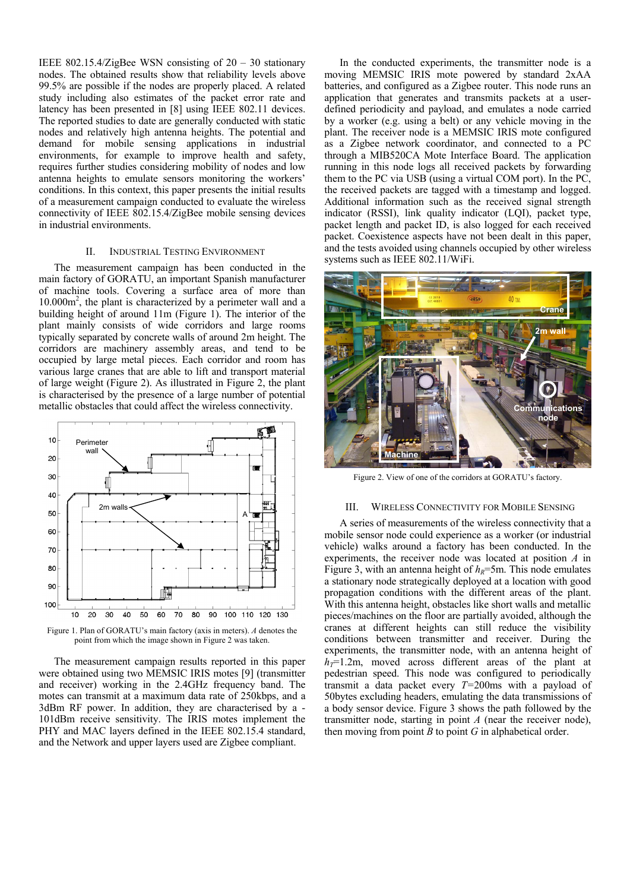IEEE 802.15.4/ZigBee WSN consisting of 20 – 30 stationary nodes. The obtained results show that reliability levels above 99.5% are possible if the nodes are properly placed. A related study including also estimates of the packet error rate and latency has been presented in [8] using IEEE 802.11 devices. The reported studies to date are generally conducted with static nodes and relatively high antenna heights. The potential and demand for mobile sensing applications in industrial environments, for example to improve health and safety, requires further studies considering mobility of nodes and low antenna heights to emulate sensors monitoring the workers' conditions. In this context, this paper presents the initial results of a measurement campaign conducted to evaluate the wireless connectivity of IEEE 802.15.4/ZigBee mobile sensing devices in industrial environments.

#### II. INDUSTRIAL TESTING ENVIRONMENT

The measurement campaign has been conducted in the main factory of GORATU, an important Spanish manufacturer of machine tools. Covering a surface area of more than 10.000m2 , the plant is characterized by a perimeter wall and a building height of around 11m (Figure 1). The interior of the plant mainly consists of wide corridors and large rooms typically separated by concrete walls of around 2m height. The corridors are machinery assembly areas, and tend to be occupied by large metal pieces. Each corridor and room has various large cranes that are able to lift and transport material of large weight (Figure 2). As illustrated in Figure 2, the plant is characterised by the presence of a large number of potential metallic obstacles that could affect the wireless connectivity.



point from which the image shown in Figure 2 was taken.

The measurement campaign results reported in this paper were obtained using two MEMSIC IRIS motes [9] (transmitter and receiver) working in the 2.4GHz frequency band. The motes can transmit at a maximum data rate of 250kbps, and a 3dBm RF power. In addition, they are characterised by a - 101dBm receive sensitivity. The IRIS motes implement the PHY and MAC layers defined in the IEEE 802.15.4 standard, and the Network and upper layers used are Zigbee compliant.

In the conducted experiments, the transmitter node is a moving MEMSIC IRIS mote powered by standard 2xAA batteries, and configured as a Zigbee router. This node runs an application that generates and transmits packets at a userdefined periodicity and payload, and emulates a node carried by a worker (e.g. using a belt) or any vehicle moving in the plant. The receiver node is a MEMSIC IRIS mote configured as a Zigbee network coordinator, and connected to a PC through a MIB520CA Mote Interface Board. The application running in this node logs all received packets by forwarding them to the PC via USB (using a virtual COM port). In the PC, the received packets are tagged with a timestamp and logged. Additional information such as the received signal strength indicator (RSSI), link quality indicator (LQI), packet type, packet length and packet ID, is also logged for each received packet. Coexistence aspects have not been dealt in this paper, and the tests avoided using channels occupied by other wireless systems such as IEEE 802.11/WiFi.



Figure 2. View of one of the corridors at GORATU's factory.

## III. WIRELESS CONNECTIVITY FOR MOBILE SENSING

A series of measurements of the wireless connectivity that a mobile sensor node could experience as a worker (or industrial vehicle) walks around a factory has been conducted. In the experiments, the receiver node was located at position *A* in Figure 3, with an antenna height of  $h_R$ =5m. This node emulates a stationary node strategically deployed at a location with good propagation conditions with the different areas of the plant. With this antenna height, obstacles like short walls and metallic pieces/machines on the floor are partially avoided, although the cranes at different heights can still reduce the visibility conditions between transmitter and receiver. During the experiments, the transmitter node, with an antenna height of  $h_T$ =1.2m, moved across different areas of the plant at pedestrian speed. This node was configured to periodically transmit a data packet every *T=*200ms with a payload of 50bytes excluding headers, emulating the data transmissions of a body sensor device. Figure 3 shows the path followed by the transmitter node, starting in point *A* (near the receiver node), then moving from point  $B$  to point  $G$  in alphabetical order.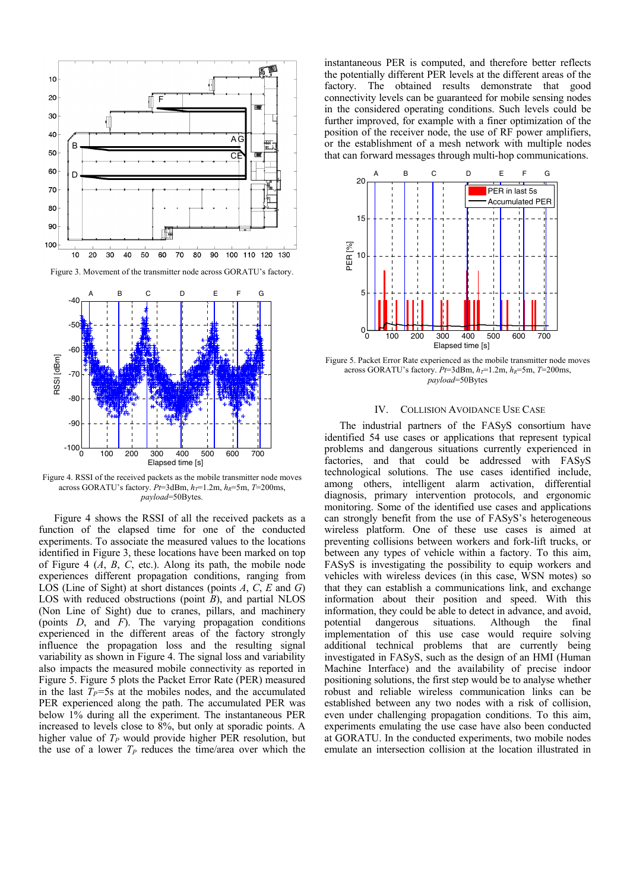

Figure 3. Movement of the transmitter node across GORATU's factory.



Figure 4. RSSI of the received packets as the mobile transmitter node moves across GORATU's factory. *Pt*=3dBm,  $h_T$ =1.2m,  $h_R$ =5m, *T*=200ms, *payload*=50Bytes.

Figure 4 shows the RSSI of all the received packets as a function of the elapsed time for one of the conducted experiments. To associate the measured values to the locations identified in Figure 3, these locations have been marked on top of Figure 4 (*A*, *B*, *C*, etc.). Along its path, the mobile node experiences different propagation conditions, ranging from LOS (Line of Sight) at short distances (points *A*, *C*, *E* and *G*) LOS with reduced obstructions (point *B*), and partial NLOS (Non Line of Sight) due to cranes, pillars, and machinery (points *D*, and *F*). The varying propagation conditions experienced in the different areas of the factory strongly influence the propagation loss and the resulting signal variability as shown in Figure 4. The signal loss and variability also impacts the measured mobile connectivity as reported in Figure 5. Figure 5 plots the Packet Error Rate (PER) measured in the last  $T<sub>P</sub>=5s$  at the mobiles nodes, and the accumulated PER experienced along the path. The accumulated PER was below 1% during all the experiment. The instantaneous PER increased to levels close to 8%, but only at sporadic points. A higher value of  $T_P$  would provide higher PER resolution, but the use of a lower  $T_P$  reduces the time/area over which the

instantaneous PER is computed, and therefore better reflects the potentially different PER levels at the different areas of the factory. The obtained results demonstrate that good connectivity levels can be guaranteed for mobile sensing nodes in the considered operating conditions. Such levels could be further improved, for example with a finer optimization of the position of the receiver node, the use of RF power amplifiers, or the establishment of a mesh network with multiple nodes that can forward messages through multi-hop communications.



Figure 5. Packet Error Rate experienced as the mobile transmitter node moves across GORATU's factory.  $Pt=3dBm$ ,  $h_T=1.2m$ ,  $h_R=5m$ ,  $T=200ms$ , *payload*=50Bytes

#### IV. COLLISION AVOIDANCE USE CASE

The industrial partners of the FASyS consortium have identified 54 use cases or applications that represent typical problems and dangerous situations currently experienced in factories, and that could be addressed with FASyS technological solutions. The use cases identified include, among others, intelligent alarm activation, differential diagnosis, primary intervention protocols, and ergonomic monitoring. Some of the identified use cases and applications can strongly benefit from the use of FASyS's heterogeneous wireless platform. One of these use cases is aimed at preventing collisions between workers and fork-lift trucks, or between any types of vehicle within a factory. To this aim, FASyS is investigating the possibility to equip workers and vehicles with wireless devices (in this case, WSN motes) so that they can establish a communications link, and exchange information about their position and speed. With this information, they could be able to detect in advance, and avoid, potential dangerous situations. Although the final implementation of this use case would require solving additional technical problems that are currently being investigated in FASyS, such as the design of an HMI (Human Machine Interface) and the availability of precise indoor positioning solutions, the first step would be to analyse whether robust and reliable wireless communication links can be established between any two nodes with a risk of collision, even under challenging propagation conditions. To this aim, experiments emulating the use case have also been conducted at GORATU. In the conducted experiments, two mobile nodes emulate an intersection collision at the location illustrated in